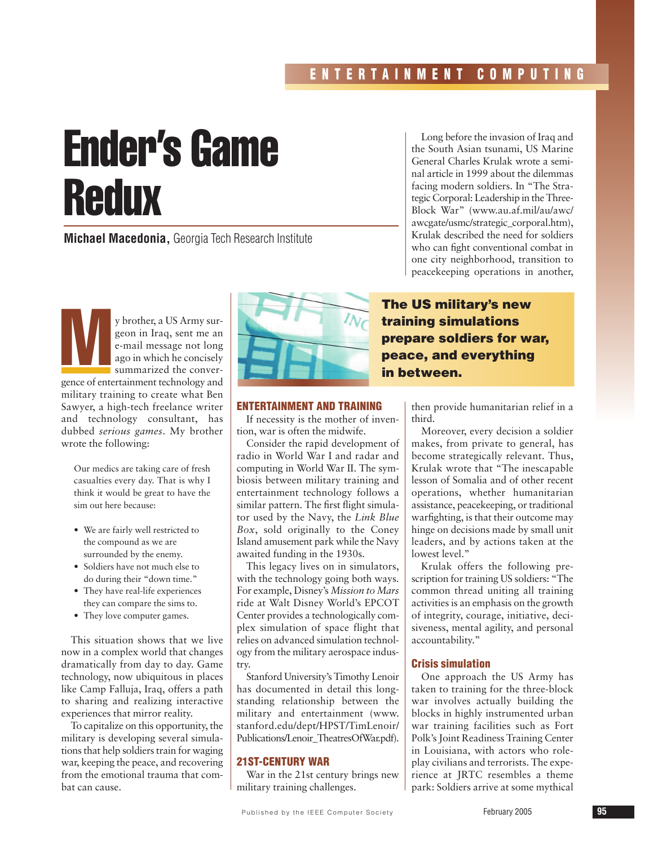# Ender's Game Redux

**Michael Macedonia,** Georgia Tech Research Institute

y brother, a US Army surgeon in Iraq, sent me an<br>e-mail message not long<br>ago in which he concisely<br>summarized the convergeon in Iraq, sent me an e-mail message not long ago in which he concisely summarized the convergence of entertainment technology and military training to create what Ben Sawyer, a high-tech freelance writer and technology consultant, has dubbed *serious games*. My brother wrote the following:

Our medics are taking care of fresh casualties every day. That is why I think it would be great to have the sim out here because:

- We are fairly well restricted to the compound as we are surrounded by the enemy.
- Soldiers have not much else to do during their "down time."
- They have real-life experiences they can compare the sims to.
- They love computer games.

This situation shows that we live now in a complex world that changes dramatically from day to day. Game technology, now ubiquitous in places like Camp Falluja, Iraq, offers a path to sharing and realizing interactive experiences that mirror reality.

To capitalize on this opportunity, the military is developing several simulations that help soldiers train for waging war, keeping the peace, and recovering from the emotional trauma that combat can cause.



#### **ENTERTAINMENT AND TRAINING**

If necessity is the mother of invention, war is often the midwife.

Consider the rapid development of radio in World War I and radar and computing in World War II. The symbiosis between military training and entertainment technology follows a similar pattern. The first flight simulator used by the Navy, the *Link Blue Box*, sold originally to the Coney Island amusement park while the Navy awaited funding in the 1930s.

This legacy lives on in simulators, with the technology going both ways. For example, Disney's *Mission to Mars* ride at Walt Disney World's EPCOT Center provides a technologically complex simulation of space flight that relies on advanced simulation technology from the military aerospace industry.

Stanford University's Timothy Lenoir has documented in detail this longstanding relationship between the military and entertainment (www. stanford.edu/dept/HPST/TimLenoir/ Publications/Lenoir\_TheatresOfWar.pdf).

### **21ST-CENTURY WAR**

War in the 21st century brings new military training challenges.

Long before the invasion of Iraq and the South Asian tsunami, US Marine General Charles Krulak wrote a seminal article in 1999 about the dilemmas facing modern soldiers. In "The Strategic Corporal: Leadership in the Three-Block War" (www.au.af.mil/au/awc/ awcgate/usmc/strategic\_corporal.htm), Krulak described the need for soldiers who can fight conventional combat in one city neighborhood, transition to peacekeeping operations in another,

# **The US military's new training simulations prepare soldiers for war, peace, and everything in between.**

then provide humanitarian relief in a third.

Moreover, every decision a soldier makes, from private to general, has become strategically relevant. Thus, Krulak wrote that "The inescapable lesson of Somalia and of other recent operations, whether humanitarian assistance, peacekeeping, or traditional warfighting, is that their outcome may hinge on decisions made by small unit leaders, and by actions taken at the lowest level."

Krulak offers the following prescription for training US soldiers: "The common thread uniting all training activities is an emphasis on the growth of integrity, courage, initiative, decisiveness, mental agility, and personal accountability."

## **Crisis simulation**

One approach the US Army has taken to training for the three-block war involves actually building the blocks in highly instrumented urban war training facilities such as Fort Polk's Joint Readiness Training Center in Louisiana, with actors who roleplay civilians and terrorists. The experience at JRTC resembles a theme park: Soldiers arrive at some mythical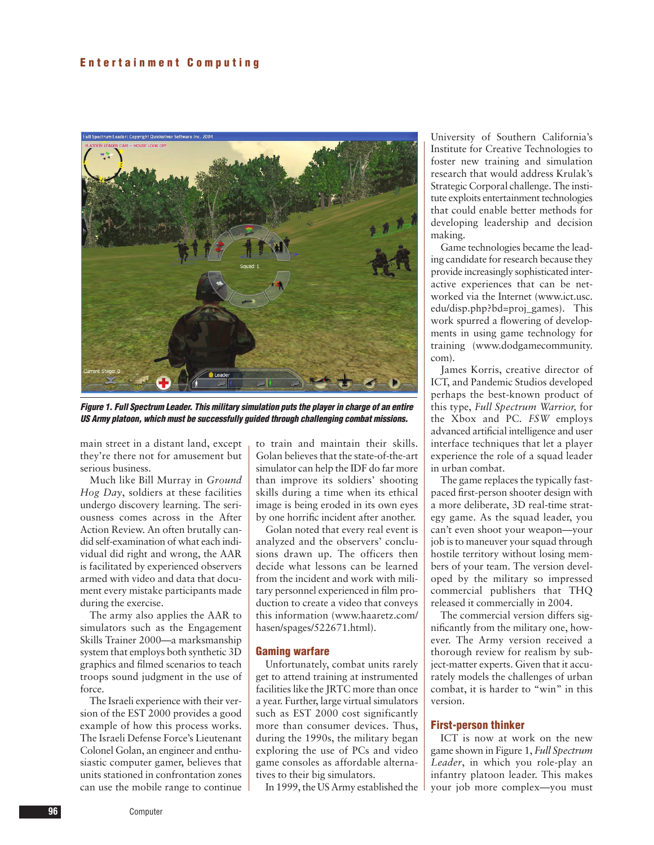

**Figure 1. Full Spectrum Leader. This military simulation puts the player in charge of an entire US Army platoon, which must be successfully guided through challenging combat missions.**

main street in a distant land, except they're there not for amusement but serious business.

Much like Bill Murray in *Ground Hog Day*, soldiers at these facilities undergo discovery learning. The seriousness comes across in the After Action Review. An often brutally candid self-examination of what each individual did right and wrong, the AAR is facilitated by experienced observers armed with video and data that document every mistake participants made during the exercise.

The army also applies the AAR to simulators such as the Engagement Skills Trainer 2000—a marksmanship system that employs both synthetic 3D graphics and filmed scenarios to teach troops sound judgment in the use of force.

The Israeli experience with their version of the EST 2000 provides a good example of how this process works. The Israeli Defense Force's Lieutenant Colonel Golan, an engineer and enthusiastic computer gamer, believes that units stationed in confrontation zones can use the mobile range to continue

to train and maintain their skills. Golan believes that the state-of-the-art simulator can help the IDF do far more than improve its soldiers' shooting skills during a time when its ethical image is being eroded in its own eyes by one horrific incident after another.

Golan noted that every real event is analyzed and the observers' conclusions drawn up. The officers then decide what lessons can be learned from the incident and work with military personnel experienced in film production to create a video that conveys this information (www.haaretz.com/ hasen/spages/522671.html).

#### **Gaming warfare**

Unfortunately, combat units rarely get to attend training at instrumented facilities like the JRTC more than once a year. Further, large virtual simulators such as EST 2000 cost significantly more than consumer devices. Thus, during the 1990s, the military began exploring the use of PCs and video game consoles as affordable alternatives to their big simulators.

In 1999, the US Army established the

University of Southern California's Institute for Creative Technologies to foster new training and simulation research that would address Krulak's Strategic Corporal challenge. The institute exploits entertainment technologies that could enable better methods for developing leadership and decision making.

Game technologies became the leading candidate for research because they provide increasingly sophisticated interactive experiences that can be networked via the Internet (www.ict.usc. edu/disp.php?bd=proj\_games). This work spurred a flowering of developments in using game technology for training (www.dodgamecommunity. com).

James Korris, creative director of ICT, and Pandemic Studios developed perhaps the best-known product of this type, *Full Spectrum Warrior,* for the Xbox and PC. *FSW* employs advanced artificial intelligence and user interface techniques that let a player experience the role of a squad leader in urban combat.

The game replaces the typically fastpaced first-person shooter design with a more deliberate, 3D real-time strategy game. As the squad leader, you can't even shoot your weapon—your job is to maneuver your squad through hostile territory without losing members of your team. The version developed by the military so impressed commercial publishers that THQ released it commercially in 2004.

The commercial version differs significantly from the military one, however. The Army version received a thorough review for realism by subject-matter experts. Given that it accurately models the challenges of urban combat, it is harder to "win" in this version.

#### **First-person thinker**

ICT is now at work on the new game shown in Figure 1, *Full Spectrum Leader*, in which you role-play an infantry platoon leader. This makes your job more complex—you must